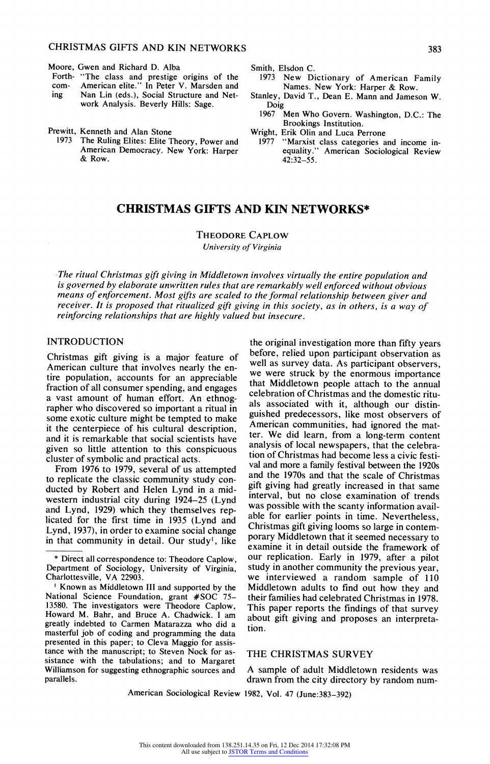**Moore, Gwen and Richard D. Alba** 

- **Forth- "The class and prestige origins of the**
- **corm- American elite." In Peter V. Marsden and ing Nan Lin (eds.), Social Structure and Network Analysis. Beverly Hills: Sage.**
- **Prewitt, Kenneth and Alan Stone** 
	- The Ruling Elites: Elite Theory, Power and **American Democracy. New York: Harper & Row.**

**Smith, Elsdon C.** 

- **1973 New Dictionary of American Family Names. New York: Harper & Row.**
- **Stanley, David T., Dean E. Mann and Jameson W. Doig** 
	- **1967 Men Who Govern. Washington, D.C.: The Brookings Institution.**
- **Wright, Erik Olin and Luca Perrone** 
	- "Marxist class categories and income in**equality." American Sociological Review 42:32-55.**

# **CHRISTMAS GIFTS AND KIN NETWORKS\***

**THEODORE CAPLOW** 

**University of Virginia** 

**\* The ritual Christmas gift giving in Middletown involves virtually the entire population and is governed by elaborate unwritten rules that are remarkably well enforced without obvious means of enforcement. Most gifts are scaled to the formal relationship between giver and receiver. It is proposed that ritualized gift giving in this society, as in others, is a way of reinforcing relationships that are highly valued but insecure.** 

#### **INTRODUCTION**

**Christmas gift giving is a major feature of American culture that involves nearly the entire population, accounts for an appreciable fraction of all consumer spending, and engages a vast amount of human effort. An ethnographer who discovered so important a ritual in some exotic culture might be tempted to make it the centerpiece of his cultural description, and it is remarkable that social scientists have given so little attention to this conspicuous cluster of symbolic and practical acts.** 

**From 1976 to 1979, several of us attempted to replicate the classic community study conducted by Robert and Helen Lynd in a midwestern industrial city during 1924-25 (Lynd and Lynd, 1929) which they themselves replicated for the first time in 1935 (Lynd and Lynd, 1937), in order to examine social change in that community in detail. Our study1, like** 

**the original investigation more than fifty years before, relied upon participant observation as well as survey data. As participant observers, we were struck by the enormous importance that Middletown people attach to the annual celebration of Christmas and the domestic rituals associated with it, although our distinguished predecessors, like most observers of American communities, had ignored the matter. We did learn, from a long-term content analysis of local newspapers, that the celebration of Christmas had become less a civic festival and more a family festival between the 1920s and the 1970s and that the scale of Christmas gift giving had greatly increased in that same interval, but no close examination of trends was possible with the scanty information available for earlier points in time. Nevertheless, Christmas gift giving looms so large in contemporary Middletown that it seemed necessary to examine it in detail outside the framework of our replication. Early in 1979, after a pilot study in another community the previous year, we interviewed a random sample of 110 Middletown adults to find out how they and their families had celebrated Christmas in 1978. This paper reports the findings of that survey about gift giving and proposes an interpretation.** 

## **THE CHRISTMAS SURVEY**

**A sample of adult Middletown residents was drawn from the city directory by random num-**

**American Sociological Review 1982, Vol. 47 (June:383-392)** 

**<sup>\*</sup> Direct all correspondence to: Theodore Caplow, Department of Sociology, University of Virginia, Charlottesville, VA 22903.** 

**<sup>&#</sup>x27; Known as Middletown III and supported by the National Science Foundation, grant #SOC 75- 13580. The investigators were Theodore Caplow, Howard M. Bahr, and Bruce A. Chadwick. I am greatly indebted to Carmen Matarazza who did a masterful job of coding and programming the data presented in this paper; to Cleva Maggio for assistance with the manuscript; to Steven Nock for assistance with the tabulations; and to Margaret Williamson for suggesting ethnographic sources and parallels.**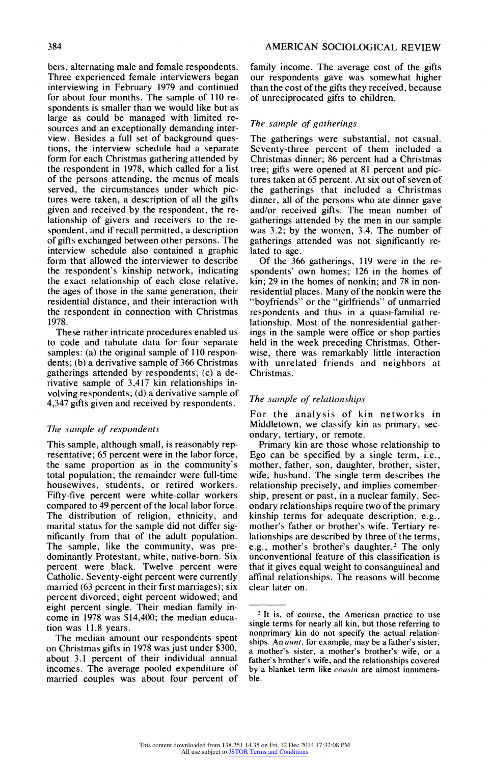**bers, alternating male and female respondents. Three experienced female interviewers began interviewing in February 1979 and continued for about four months. The sample of 110 respondents is smaller than we would like but as large as could be managed with limited resources and an exceptionally demanding interview. Besides a full set of background questions, the interview schedule had a separate form for each Christmas gathering attended by the respondent in 1978, which called for a list of the persons attending, the menus of meals served, the circumstances under which pictures were taken, a description of all the gifts given and received by the respondent, the relationship of givers and receivers to the respondent, and if recall permitted, a description of gifts exchanged between other persons. The interview schedule also contained a graphic form that allowed the interviewer to describe the respondent's kinship network, indicating the exact relationship of each close relative, the ages of those in the same generation, their residential distance, and their interaction with the respondent in connection with Christmas 1978.** 

**These rather intricate procedures enabled us to code and tabulate data for four separate samples: (a) the original sample of 110 respondents; (b) a derivative sample of 366 Christmas gatherings attended by respondents; (c) a derivative sample of 3,417 kin relationships involving respondents; (d) a derivative sample of 4,347 gifts given and received by respondents.** 

# **The sample of respondents**

**This sample, although small, is reasonably representative; 65 percent were in the labor force, the same proportion as in the community's total population; the remainder were full-time housewives, students, or retired workers. Fifty-five percent were white-collar workers compared to 49 percent of the local labor force. The distribution of religion, ethnicity, and marital status for the sample did not differ significantly from that of the adult population. The sample, like the community, was predominantly Protestant, white, native-born. Six percent were black. Twelve percent were Catholic. Seventy-eight percent were currently married (63 percent in their first marriages); six percent divorced; eight percent widowed; and eight percent single. Their median family income in 1978 was \$14,400; the median education was 11.8 years.** 

**The median amount our respondents spent on Christmas gifts in 1978 was just under \$300, about 3.1 percent of their individual annual incomes. The average pooled expenditure of married couples was about four percent of** 

**family income. The average cost of the gifts our respondents gave was somewhat higher than the cost of the gifts they received, because of unreciprocated gifts to children.** 

# **The sample of gatherings**

**The gatherings were substantial, not casual. Seventy-three percent of them included a Christmas dinner; 86 percent had a Christmas tree; gifts were opened at 81 percent and pictures taken at 65 percent. At six out of seven of the gatherings that included a Christmas dinner, all of the persons who ate dinner gave and/or received gifts. The mean number of gatherings attended by the men in our sample was 3.2; by the women, 3.4. The number of gatherings attended was not significantly related to age.** 

**Of the 366 gatherings, 119 were in the respondents' own homes; 126 in the homes of kin; 29 in the homes of nonkin; and 78 in nonresidential places. Many of the nonkin were the "boyfriends" or the "girlfriends" of unmarried respondents and thus in a quasi-familial relationship. Most of the nonresidential gatherings in the sample were office or shop parties held in the week preceding Christmas. Otherwise, there was remarkably little interaction with unrelated friends and neighbors at Christmas.** 

# **The sample of relationships**

**For the analysis of kin networks in Middletown, we classify kin as primary, secondary, tertiary, or remote.** 

**Primary kin are those whose relationship to Ego can be specified by a single term, i.e., mother, father, son, daughter, brother, sister, wife, husband. The single term describes the relationship precisely, and implies comembership, present or past, in a nuclear family. Secondary relationships require two of the primary kinship terms for adequate description, e.g., mother's father or brother's wife. Tertiary relationships are described by three of the terms, e.g., mother's brother's daughter.2 The only unconventional feature of this classification is that it gives equal weight to consanguineal and affinal relationships. The reasons will become clear later on.** 

**<sup>2</sup>It is, of course, the American practice to use single terms for nearly all kin, but those referring to nonprimary kin do not specify the actual relationships. An aunt, for example, may be a father's sister, a mother's sister, a mother's brother's wife, or a father's brother's wife, and the relationships covered by a blanket term like cousin are almost innumerable.**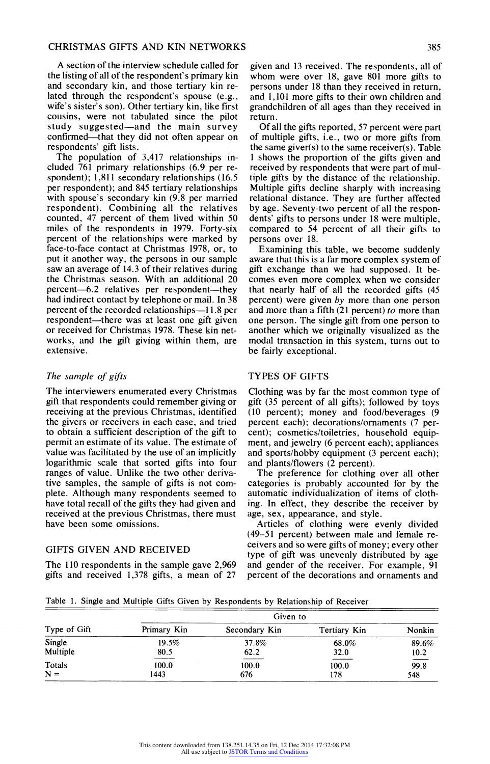**A section of the interview schedule called for the listing of all of the respondent's primary kin and secondary kin, and those tertiary kin related through the respondent's spouse (e.g., wife's sister's son). Other tertiary kin, like first cousins, were not tabulated since the pilot study suggested-and the main survey confirmed-that they did not often appear on respondents' gift lists.** 

**The population of 3,417 relationships included 761 primary relationships (6.9 per respondent); 1,811 secondary relationships (16.5 per respondent); and 845 tertiary relationships with spouse's secondary kin (9.8 per married respondent). Combining all the relatives counted, 47 percent of them lived within 50 miles of the respondents in 1979. Forty-six percent of the relationships were marked by face-to-face contact at Christmas 1978, or, to put it another way, the persons in our sample saw an average of 14.3 of their relatives during the Christmas season. With an additional 20**  percent-6.2 relatives per respondent-they **had indirect contact by telephone or mail. In 38 percent of the recorded relationships—11.8 per** respondent—there was at least one gift given **or received for Christmas 1978. These kin networks, and the gift giving within them, are extensive.** 

#### **The sample of gifts**

**The interviewers enumerated every Christmas gift that respondents could remember giving or receiving at the previous Christmas, identified the givers or receivers in each case, and tried to obtain a sufficient description of the gift to permit an estimate of its value. The estimate of value was facilitated by the use of an implicitly logarithmic scale that sorted gifts into four ranges of value. Unlike the two other derivative samples, the sample of gifts is not complete. Although many respondents seemed to have total recall of the gifts they had given and received at the previous Christmas, there must have been some omissions.** 

#### **GIFTS GIVEN AND RECEIVED**

**The 110 respondents in the sample gave 2,969 gifts and received 1,378 gifts, a mean of 27**  **given and 13 received. The respondents, all of whom were over 18, gave 801 more gifts to persons under 18 than they received in return, and 1,101 more gifts to their own children and grandchildren of all ages than they received in return.** 

**Of all the gifts reported, 57 percent were part of multiple gifts, i.e., two or more gifts from**  the same giver(s) to the same receiver(s). Table **1 shows the proportion of the gifts given and received by respondents that were part of multiple gifts by the distance of the relationship. Multiple gifts decline sharply with increasing relational distance. They are further affected by age. Seventy-two percent of all the respondents' gifts to persons under 18 were multiple, compared to 54 percent of all their gifts to persons over 18.** 

**Examining this table, we become suddenly aware that this is a far more complex system of gift exchange than we had supposed. It becomes even more complex when we consider that nearly half of all the recorded gifts (45 percent) were given by more than one person and more than a fifth (21 percent) to more than one person. The single gift from one person to another which we originally visualized as the modal transaction in this system, turns out to be fairly exceptional.** 

## **TYPES OF GIFTS**

**Clothing was by far the most common type of gift (35 percent of all gifts); followed by toys (10 percent); money and food/beverages (9 percent each); decorations/ornaments (7 percent); cosmetics/toiletries, household equipment, and jewelry (6 percent each); appliances and sports/hobby equipment (3 percent each); and plants/flowers (2 percent).** 

**The preference for clothing over all other categories is probably accounted for by the automatic individualization of items of clothing. In effect, they describe the receiver by age, sex, appearance, and style.** 

**Articles of clothing were evenly divided (49-51 percent) between male and female receivers and so were gifts of money; every other type of gift was unevenly distributed by age and gender of the receiver. For example, 91 percent of the decorations and ornaments and** 

**Table 1. Single and Multiple Gifts Given by Respondents by Relationship of Receiver** 

| Type of Gift       |               | Given to      |               |               |
|--------------------|---------------|---------------|---------------|---------------|
|                    | Primary Kin   | Secondary Kin | Tertiary Kin  | <b>Nonkin</b> |
| Single<br>Multiple | 19.5%         | 37.8%         | 68.0%         | 89.6%         |
| Totals             | 80.5<br>100.0 | 62.2<br>100.0 | 32.0<br>100.0 | 10.2<br>99.8  |
| $N =$              | 1443          | 676           | 178           | 548           |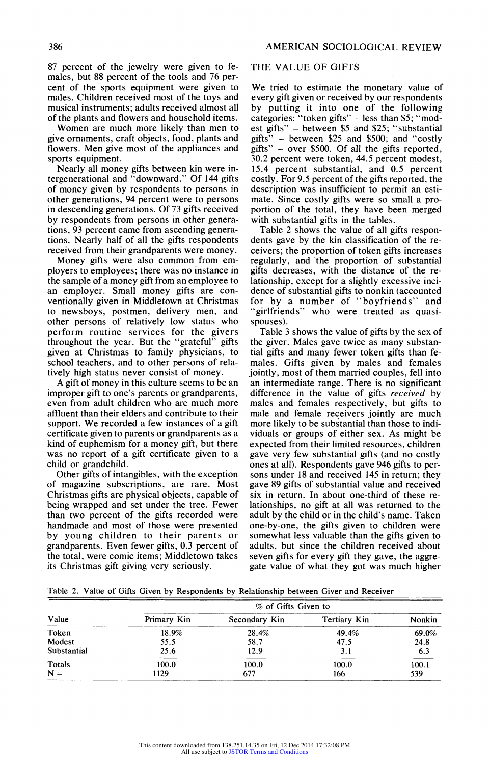**87 percent of the jewelry were given to females, but 88 percent of the tools and 76 percent of the sports equipment were given to males. Children received most of the toys and musical instruments; adults received almost all of the plants and flowers and household items.** 

**Women are much more likely than men to give ornaments, craft objects, food, plants and flowers. Men give most of the appliances and sports equipment.** 

**Nearly all money gifts between kin were intergenerational and "downward." Of 144 gifts of money given by respondents to persons in other generations, 94 percent were to persons in descending generations. Of 73 gifts received by respondents from persons in other generations, 93 percent came from ascending generations. Nearly half of all the gifts respondents received from their grandparents were money.** 

**Money gifts were also common from employers to employees; there was no instance in the sample of a money gift from an employee to an employer. Small money gifts are conventionally given in Middletown at Christmas to newsboys, postmen, delivery men, and other persons of relatively low status who perform routine services for the givers throughout the year. But the "grateful" gifts given at Christmas to family physicians, to school teachers, and to other persons of relatively high status never consist of money.** 

**A gift of money in this culture seems to be an improper gift to one's parents or grandparents, even from adult children who are much more affluent than their elders and contribute to their support. We recorded a few instances of a gift certificate given to parents or grandparents as a kind of euphemism for a money gift, but there was no report of a gift certificate given to a child or grandchild.** 

**Other gifts of intangibles, with the exception of magazine subscriptions, are rare. Most Christmas gifts are physical objects, capable of being wrapped and set under the tree. Fewer than two percent of the gifts recorded were handmade and most of those were presented by young children to their parents or grandparents. Even fewer gifts, 0.3 percent of the total, were comic items; Middletown takes its Christmas gift giving very seriously.** 

# **THE VALUE OF GIFTS**

**We tried to estimate the monetary value of every gift given or received by our respondents by putting it into one of the following categories: "token gifts" - less than \$5; "modest gifts" - between \$5 and \$25; "substantial gifts" - between \$25 and \$500; and "costly gifts" - over \$500. Of all the gifts reported, 30.2 percent were token, 44.5 percent modest, 15.4 percent substantial, and 0.5 percent costly. For 9.5 percent of the gifts reported, the description was insufficient to permit an estimate. Since costly gifts were so small a proportion of the total, they have been merged with substantial gifts in the tables.** 

**Table 2 shows the value of all gifts respondents gave by the kin classification of the receivers; the proportion of token gifts increases regularly, and 'the proportion of substantial gifts decreases, with the distance of the relationship, except for a slightly excessive incidence of substantial gifts to nonkin (accounted for by a number of "boyfriends" and "girlfriends" who were treated as quasispouses).** 

**Table 3 shows the value of gifts by the sex of the giver. Males gave twice as many substantial gifts and many fewer token gifts than females. Gifts given by males and females jointly, most of them married couples, fell into an intermediate range. There is no significant difference in the value of gifts received by males and females respectively, but gifts to male and female receivers jointly are much more likely to be substantial than those to individuals or groups of either sex. As might be expected from their limited resources, children gave very few substantial gifts (and no costly ones at all). Respondents gave 946 gifts to persons under 18 and received 145 in return; they gave 89 gifts of substantial value and received six in return. In about one-third of these relationships, no gift at all was returned to the adult by the child or in the child's name. Taken one-by-one, the gifts given to children were somewhat less valuable than the gifts given to adults, but since the children received about seven gifts for every gift they gave, the aggregate value of what they got was much higher** 

**Table 2. Value of Gifts Given by Respondents by Relationship between Giver and Receiver** 

| Value       |             | % of Gifts Given to |              |        |  |
|-------------|-------------|---------------------|--------------|--------|--|
|             | Primary Kin | Secondary Kin       | Tertiary Kin | Nonkin |  |
| Token       | 18.9%       | 28.4%               | 49.4%        | 69.0%  |  |
| Modest      | 55.5        | 58.7                | 47.5         | 24.8   |  |
| Substantial | 25.6        | 12.9                | 3.1          | 6.3    |  |
| Totals      | 100.0       | 100.0               | 100.0        | 100.1  |  |
| $N =$       | 1129        | 677                 | 166          | 539    |  |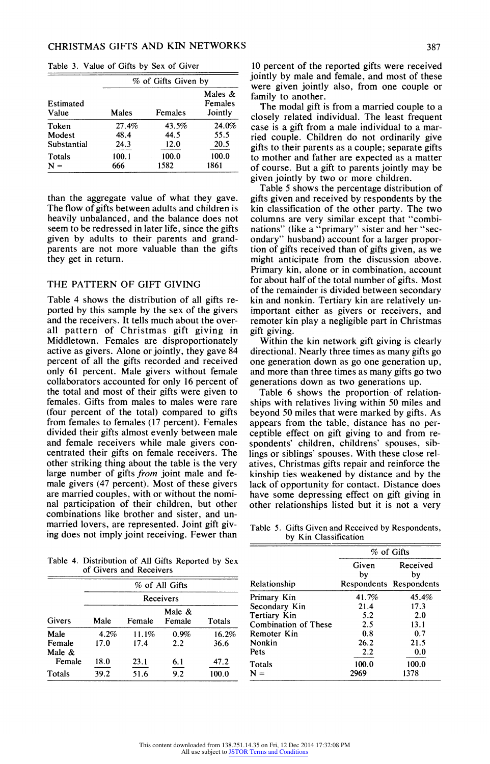**Table 3. Value of Gifts by Sex of Giver** 

|                    |       | % of Gifts Given by |                                  |  |  |
|--------------------|-------|---------------------|----------------------------------|--|--|
| Estimated<br>Value | Males | Females             | Males $\&$<br>Females<br>Jointly |  |  |
| Token              | 27.4% | 43.5%               | 24.0%                            |  |  |
| Modest             | 48.4  | 44.5                | 55.5                             |  |  |
| Substantial        | 24.3  | 12.0                | 20.5                             |  |  |
| Totals             | 100.1 | 100.0               | 100.0                            |  |  |
| $N =$              | 666   | 1582                | 1861                             |  |  |

**than the aggregate value of what they gave. The flow of gifts between adults and children is heavily unbalanced, and the balance does not seem to be redressed in later life, since the gifts given by adults to their parents and grandparents are not more valuable than the gifts they get in return.** 

## **THE PATTERN OF GIFT GIVING**

**Table 4 shows the distribution of all gifts reported by this sample by the sex of the givers and the receivers. It tells much about the overall pattern of Christmas gift giving in Middletown. Females are disproportionately active as givers. Alone or jointly, they gave 84 percent of all the gifts recorded and received only 61 percent. Male givers without female collaborators accounted for only 16 percent of the total and most of their gifts were given to females. Gifts from males to males were rare (four percent of the total) compared to gifts from females to females (17 percent). Females divided their gifts almost evenly between male and female receivers while male givers concentrated their gifts on female receivers. The other striking thing about the table is the very large number of gifts from joint male and female givers (47 percent). Most of these givers are married couples, with or without the nominal participation of their children, but other combinations like brother and sister, and unmarried lovers, are represented. Joint gift giving does not imply joint receiving. Fewer than** 

**Table 4. Distribution of All Gifts Reported by Sex of Givers and Receivers** 

|                     | % of All Gifts |        |                  |        |  |
|---------------------|----------------|--------|------------------|--------|--|
|                     | Receivers      |        |                  |        |  |
| Givers              | Male           | Female | Male &<br>Female | Totals |  |
| Male                | 4.2%           | 11.1%  | 0.9%             | 16.2%  |  |
| Female<br>Male $\&$ | 17.0           | 17.4   | 2.2              | 36.6   |  |
| Female              | 18.0           | 23.1   | 6.1              | 47.2   |  |
| Totals              | 39.2           | 51.6   | 9.2              | 100.0  |  |

**10 percent of the reported gifts were received jointly by male and female, and most of these were given jointly also, from one couple or family to another.** 

**The modal gift is from a married couple to a closely related individual. The least frequent case is a gift from a male individual to a married couple. Children do not ordinarily give gifts to their parents as a couple; separate gifts to mother and father are expected as a matter of course. But a gift to parents jointly may be given jointly by two or more children.** 

**Table 5 shows the percentage distribution of gifts given and received by respondents by the kin classification of the other party. The two columns are very similar except that "combinations" (like a "primary" sister and her "secondary" husband) account for a larger proportion of gifts received than of gifts given, as we might anticipate from the discussion above. Primary kin, alone or in combination, account for about half of the total number of gifts. Most of the remainder is divided between secondary kin and nonkin. Tertiary kin are relatively unimportant either as givers or receivers, and remoter kin play a negligible part in Christmas gift giving.** 

**Within the kin network gift giving is clearly directional. Nearly three times as many gifts go one generation down as go one generation up, and more than three times as many gifts go two generations down as two generations up.** 

Table 6 shows the proportion of relation**ships with relatives living within 50 miles and beyond 50 miles that were marked by gifts. As appears from the table, distance has no perceptible effect on gift giving to and from respondents' children, childrens' spouses, siblings or siblings' spouses. With these close relatives, Christmas gifts repair and reinforce the kinship ties weakened by distance and by the lack of opportunity for contact. Distance does have some depressing effect on gift giving in other relationships listed but it is not a very** 

**Table 5. Gifts Given and Received by Respondents, by Kin Classification** 

|                      | % of Gifts  |                                           |  |
|----------------------|-------------|-------------------------------------------|--|
| Relationship         | Given<br>bv | Received<br>by<br>Respondents Respondents |  |
| Primary Kin          | 41.7%       | 45.4%                                     |  |
| Secondary Kin        | 21.4        | 17.3                                      |  |
| Tertiary Kin         | 5.2         | 2.0                                       |  |
| Combination of These | 2.5         | 13.1                                      |  |
| Remoter Kin          | 0.8         | 0.7                                       |  |
| Nonkin               | 26.2        | 21.5                                      |  |
| Pets                 | 2.2         | 0.0                                       |  |
| Totals               | 100.0       | 100.0                                     |  |
| $N =$                | 2969        | 1378                                      |  |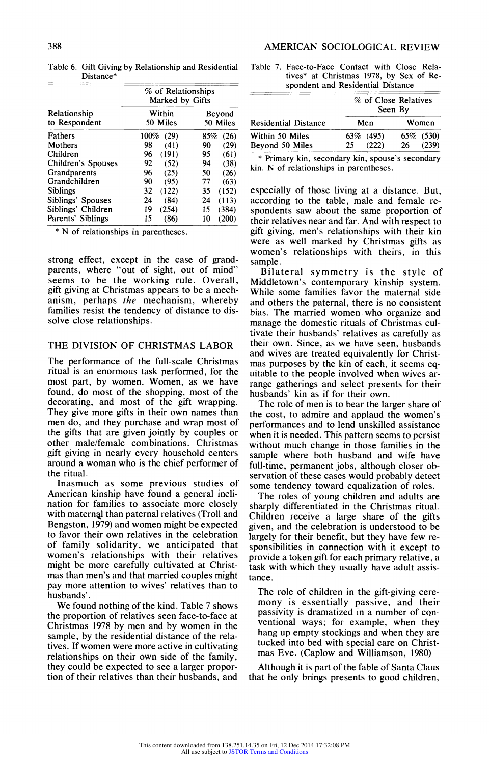|                               | % of Relationships<br>Marked by Gifts |                    |  |  |
|-------------------------------|---------------------------------------|--------------------|--|--|
| Relationship<br>to Respondent | Within<br>50 Miles                    | Bevond<br>50 Miles |  |  |
| Fathers                       | 100%<br>(29)                          | 85%<br>(26)        |  |  |
| Mothers                       | 98<br>(41)                            | 90<br>(29)         |  |  |
| Children                      | 96<br>(191)                           | 95<br>(61)         |  |  |
| Children's Spouses            | 92<br>(52)                            | 94<br>(38)         |  |  |
| Grandparents                  | 96<br>(25)                            | 50<br>(26)         |  |  |
| Grandchildren                 | 90<br>(95)                            | 77<br>(63)         |  |  |
| <b>Siblings</b>               | (122)<br>32                           | (152)<br>35        |  |  |
| Siblings' Spouses             | (84)<br>24                            | 24<br>(113)        |  |  |
| Siblings' Children            | 19<br>(254)                           | (384)<br>15        |  |  |
| Parents' Siblings             | (86)<br>15                            | (200)<br>10        |  |  |

**Table 6. Gift Giving by Relationship and Residential Distance\*** 

**\* N of relationships in parentheses.** 

**strong effect, except in the case of grandparents, where "out of sight, out of mind" seems to be the working rule. Overall, gift giving at Christmas appears to be a mechanism, perhaps the mechanism, whereby families resist the tendency of distance to dissolve close relationships.** 

#### **THE DIVISION OF CHRISTMAS LABOR**

**The performance of the full-scale Christmas ritual is an enormous task performed, for the most part, by women. Women, as we have found, do most of the shopping, most of the decorating, and most of the gift wrapping. They give more gifts in their own names than men do, and they purchase and wrap most of the gifts that are given jointly by couples or other male/female combinations. Christmas gift giving in nearly every household centers around a woman who is the chief performer of the ritual.** 

**Inasmuch as some previous studies of American kinship have found a general inclination for families to associate more closely with maternal than paternal relatives (Troll and Bengston, 1979) and women might be expected to favor their own relatives in the celebration of family solidarity, we anticipated that**  women's relationships with their relatives **might be more carefully cultivated at Christmas than men's and that married couples might pay more attention to wives' relatives than to husbands'.** 

**We found nothing of the kind. Table 7 shows the proportion of relatives seen face-to-face at Christmas 1978 by men and by women in the sample, by the residential distance of the relatives. If women were more active in cultivating relationships on their own side of the family, they could be expected to see a larger proportion of their relatives than their husbands, and** 

**Table 7. Face-to-Face Contact with Close Relatives\* at Christmas 1978, by Sex of Respondent and Residential Distance** 

|                                    | % of Close Relatives<br>Seen By |                            |  |
|------------------------------------|---------------------------------|----------------------------|--|
| <b>Residential Distance</b>        | Men                             | Women                      |  |
| Within 50 Miles<br>Beyond 50 Miles | 63\% (495)<br>(222)<br>25.      | 65\% (530)<br>(239)<br>26. |  |

**\* Primary kin, secondary kin, spouse's secondary kin. N of relationships in parentheses.** 

**especially of those living at a distance. But, according to the table, male and female respondents saw about the same proportion of their relatives near and far. And with respect to gift giving, men's relationships with their kin were as well marked by Christmas gifts as women's relationships with theirs, in this sample.** 

**Bilateral symmetry is the style of**  Middletown's contemporary kinship system. **While some families favor the maternal side and others the paternal, there is no consistent bias. The married women who organize and manage the domestic rituals of Christmas cultivate their husbands' relatives as carefully as their own. Since, as we have seen, husbands and wives are treated equivalently for Christmas purposes by the kin of each, it seems equitable to the people involved when wives arrange gatherings and select presents for their husbands' kin as if for their own.** 

**The role of men is to bear the larger share of the cost, to admire and applaud the women's performances and to lend unskilled assistance when it is needed. This pattern seems to persist without much change in those families in the sample where both husband and wife have full-time, permanent jobs, although closer observation of these cases would probably detect some tendency toward equalization of roles.** 

**The roles of young children and adults are sharply differentiated in the Christmas ritual. Children receive a large share of the gifts given, and the celebration is understood to be largely for their benefit, but they have few responsibilities in connection with it except to provide a token gift for each primary relative, a task with which they usually have adult assistance.** 

**The role of children in the gift-giving ceremony is essentially passive, and their passivity is dramatized in a number of cQnventional ways; for example, when they hang up empty stockings and when they are tucked into bed with special care on Christmas Eve. (Caplow and Williamson, 1980)** 

**Although it is part of the fable of Santa Claus that he only brings presents to good children,**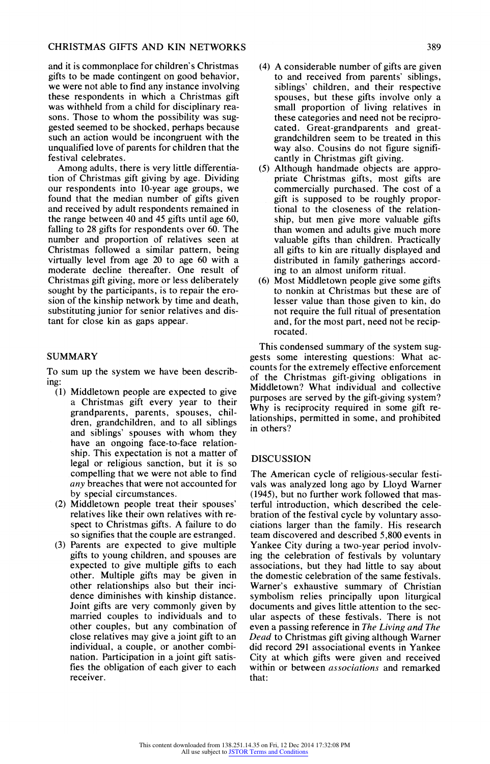**and it is commonplace for children's Christmas gifts to be made contingent on good behavior, we were not able to find any instance involving these respondents in which a Christmas gift was withheld from a child for disciplinary reasons. Those to whom the possibility was suggested seemed to be shocked, perhaps because such an action would be incongruent with the unqualified love of parents for children that the festival celebrates.** 

**Among adults, there is very little differentiation of Christmas gift giving by age. Dividing our respondents into 10-year age groups, we found that the median number of gifts given and received by adult respondents remained in the range between 40 and 45 gifts until age 60, falling to 28 gifts for respondents over 60. The number and proportion of relatives seen at Christmas followed a similar pattern, being virtually level from age 20 to age 60 with a moderate decline thereafter. One result of Christmas gift giving, more or less deliberately sought by the participants, is to repair the erosion of the kinship network by time and death, substituting junior for senior relatives and distant for close kin as gaps appear.** 

#### **SUMMARY**

**To sum up the system we have been describing:** 

- **(1) Middletown people are expected to give a Christmas gift every year to their grandparents, parents, spouses, children, grandchildren, and to all siblings and siblings' spouses with whom they have an ongoing face-to-face relationship. This expectation is not a matter of legal or religious sanction, but it is so compelling that we were not able to find any breaches that were not accounted for by special circumstances.**
- **(2) Middletown people treat their spouses' relatives like their own relatives with respect to Christmas gifts. A failure to do so signifies that the couple are estranged.**
- **(3) Parents are expected to give multiple gifts to young children, and spouses are expected to give multiple gifts to each other. Multiple gifts may be given in other relationships also but their incidence diminishes with kinship distance. Joint gifts are very commonly given by married couples to individuals and to other couples, but any combination of close relatives may give a joint gift to an individual, a couple, or another combination. Participation in a joint gift satisfies the obligation of each giver to each receiver.**
- **(4) A considerable number of gifts are given to and received from parents' siblings, siblings' children, and their respective spouses, but these gifts involve only a small proportion of living relatives in these categories and need not be reciprocated. Great-grandparents and greatgrandchildren seem to be treated in this way also. Cousins do not figure significantly in Christmas gift giving.**
- **(5) Although handmade objects are appropriate Christmas gifts, most gifts are commercially purchased. The cost of a gift is supposed to be roughly proportional to the closeness of the relationship, but men give more valuable gifts than women and adults give much more valuable gifts than children. Practically all gifts to kin are ritually displayed and distributed in family gatherings according to an almost uniform ritual.**
- **(6) Most Middletown people give some gifts to nonkin at Christmas but these are of lesser value than those given to kin, do not require the full ritual of presentation and, for the most part, need not be reciprocated.**

**This condensed summary of the system suggests some interesting questions: What accounts for the extremely effective enforcement of the Christmas gift-giving obligations in Middletown? What individual and collective purposes are served by the gift-giving system? Why is reciprocity required in some gift relationships, permitted in some, and prohibited in others?** 

#### **DISCUSSION**

**The American cycle of religious-secular festivals was analyzed long ago by Lloyd Warner (1945), but no further work followed that masterful introduction, which described the celebration of the festival cycle by voluntary associations larger than the family. His research team discovered and described 5,800 events in Yankee City during a two-year period involving the celebration of festivals by voluntary associations, but they had little to say about the domestic celebration of the same festivals. Warner's exhaustive summary of Christian symbolism relies principally upon liturgical documents and gives little attention to the secular aspects of these festivals. There is not even a passing reference in The Living and The Dead to Christmas gift giving although Warner did record 291 associational events in Yankee City at which gifts were given and received within or between associations and remarked that:**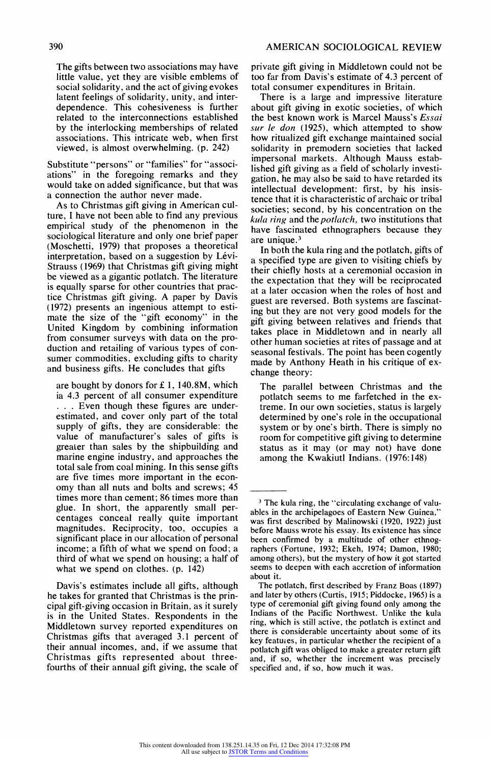**The gifts between two associations may have little value, yet they are visible emblems of social solidarity, and the act of giving evokes latent feelings of solidarity, unity, and interdependence. This cohesiveness is further related to the interconnections established by the interlocking memberships of related associations. This intricate web, when first viewed, is almost overwhelming. (p. 242)** 

**Substitute "persons" or "families" for "associations" in the foregoing remarks and they would take on added significance, but that was a connection the author never made.** 

**As to Christmas gift giving in American culture, I have not been able to find any previous empirical study of the phenomenon in the sociological literature and only one brief paper (Moschetti, 1979) that proposes a theoretical**  interpretation, based on a suggestion by Lévi-**Strauss (1969) that Christmas gift giving might be viewed as a gigantic potlatch. The literature is equally sparse for other countries that practice Christmas gift giving. A paper by Davis (1972) presents an ingenious attempt to estimate the size of the "gift economy" in the United Kingdom by combining information from consumer surveys with data on the production and retailing of various types of consumer commodities, excluding gifts to charity and business gifts. He concludes that gifts** 

are bought by donors for £1, 140.8M, which **ia 4.3 percent of all consumer expenditure . . . Even though these figures are underestimated, and cover only part of the total supply of gifts, they are considerable: the value of manufacturer's sales of gifts is greater than sales by the shipbuilding and marine engine industry, and approaches the total sale from coal mining. In this sense gifts are five times more important in the economy than all nuts and bolts and screws; 45 times more than cement; 86 times more than glue. In short, the apparently small percentages conceal really quite important magnitudes. Reciprocity, too, occupies a significant place in our allocation of personal income; a fifth of what we spend on food; a third of what we spend on housing; a half of what we spend on clothes. (p. 142)** 

**Davis's estimates include all gifts, although he takes for granted that Christmas is the principal gift-giving occasion in Britain, as it surely is in the United States. Respondents in the Middletown survey reported expenditures on Christmas gifts that averaged 3.1 percent of their annual incomes, and, if we assume that Christmas gifts represented about threefourths of their annual gift giving, the scale of**  **private gift giving in Middletown could not be too far from Davis's estimate of 4.3 percent of total consumer expenditures in Britain.** 

**There is a large and impressive literature about gift giving in exotic societies, of which the best known work is Marcel Mauss's Essai sur le don (1925), which attempted to show how ritualized gift exchange maintained social solidarity in premodern societies that lacked impersonal markets. Although Mauss established gift giving as a field of scholarly investigation, he may also be said to have retarded its intellectual development: first, by his insistence that it is characteristic of archaic or tribal societies; second, by his concentration on the kula ring and the potlatch, two institutions that have fascinated ethnographers because they are unique.3** 

**In both the kula ring and the potlatch, gifts of a specified type are given to visiting chiefs by their chiefly hosts at a ceremonial occasion in the expectation that they will be reciprocated at a later occasion when the roles of host and guest are reversed. Both systems are fascinating but they are not very good models for the gift giving between relatives and friends that takes place in Middletown and in nearly all other human societies at rites of passage and at seasonal festivals. The point has been cogently made by Anthony Heath in his critique of exchange theory:** 

**The parallel between Christmas and the potlatch seems to me farfetched in the extreme. In our own societies, status is largely determined by one's role in the occupational system or by one's birth. There is simply no room for competitive gift giving to determine status as it may (or may not) have done among the Kwakiutl Indians. (1976:148)** 

**<sup>3</sup>The kula ring, the "circulating exchange of valuables in the archipelagoes of Eastern New Guinea," was first described by Malinowski (1920, 1922) just before Mauss wrote his essay. Its existence has since been confirmed by a multitude of other ethnographers (Fortune, 1932; Ekeh, 1974; Damon, 1980; among others), but the mystery of how it got started seems to deepen with each accretion of information about it.** 

**The potlatch, first described by Franz Boas (1897) and later by others (Curtis, 1915; Piddocke, 1965) is a type of ceremonial gift giving found only among the Indians of the Pacific Northwest. Unlike the kula ring, which is still active, the potlatch is extinct and there is considerable uncertainty about some of its key features, in particular whether the recipient of a potlatch gift was obliged to make a greater return gift and, if so, whether the increment was precisely specified and, if so, how much it was.**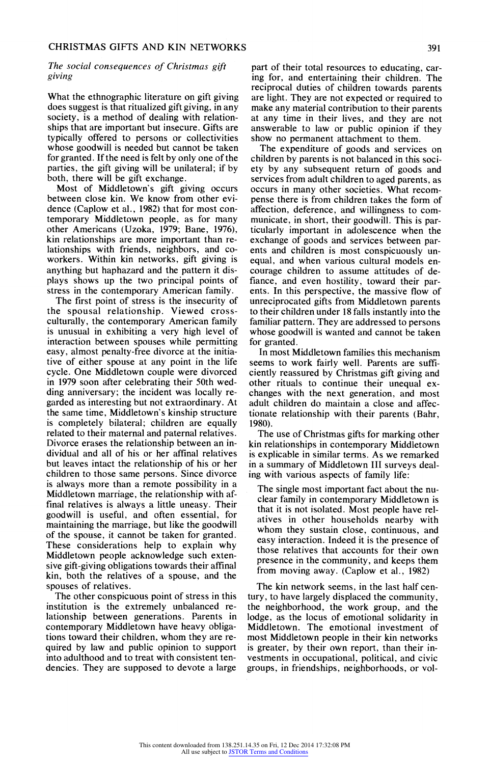#### **The social consequences of Christmas gift giving**

**What the ethnographic literature on gift giving does suggest is that ritualized gift giving, in any society, is a method of dealing with relationships that are important but insecure. Gifts are typically offered to persons or collectivities whose goodwill is needed but cannot be taken for granted. If the need is felt by only one of the parties, the gift giving will be unilateral; if by both, there will be gift exchange.** 

**Most of Middletown's gift giving occurs between close kin. We know from other evidence (Caplow et al., 1982) that for most contemporary Middletown people, as for many other Americans (Uzoka, 1979; Bane, 1976), kin relationships are more important than relationships with friends, neighbors, and coworkers. Within kin networks, gift giving is anything but haphazard and the pattern it displays shows up the two principal points of stress in the contemporary American family.** 

**The first point of stress is the insecurity of the spousal relationship. Viewed crossculturally, the contemporary American family is unusual in exhibiting a very high level of interaction between spouses while permitting easy, almost penalty-free divorce at the initiative of either spouse at any point in the life cycle. One Middletown couple were divorced in 1979 soon after celebrating their 50th wedding anniversary; the incident was locally regarded as interesting but not extraordinary. At the same time, Middletown's kinship structure is completely bilateral; children are equally related to their maternal and paternal relatives. Divorce erases the relationship between an individual and all of his or her affinal relatives but leaves intact the relationship of his or her children to those same persons. Since divorce is always more than a remote possibility in a Middletown marriage, the relationship with affinal relatives is always a little uneasy. Their goodwill is useful, and often essential, for maintaining the marriage, but like the goodwill of the spouse, it cannot be taken for granted. These considerations help to explain why Middletown people acknowledge such extensive gift-giving obligations towards their affinal kin, both the relatives of a spouse, and the spouses of relatives.** 

**The other conspicuous point of stress in this institution is the extremely unbalanced relationship between generations. Parents in contemporary Middletown have heavy obligations toward their children, whom they are required by law and public opinion to support into adulthood and to treat with consistent tendencies. They are supposed to devote a large** 

**part of their total resources to educating, caring for, and entertaining their children. The reciprocal duties of children towards parents are light. They are not expected or required to make any material contribution to their parents at any time in their lives, and they are not answerable to law or public opinion if they show no permanent attachment to them.** 

**The expenditure of goods and services on children by parents is not balanced in this society by any subsequent return of goods and services from adult children to aged parents, as occurs in many other societies. What recompense there is from children takes the form of affection, deference, and willingness to communicate, in short, their goodwill. This is particularly important in adolescence when the exchange of goods and services between parents and children is most conspicuously unequal, and when various cultural models encourage children to assume attitudes of defiance, and even hostility, toward their parents. In this perspective, the massive flow of unreciprocated gifts from Middletown parents to their children under 18 falls instantly into the familiar pattern. They are addressed to persons whose goodwill is wanted and cannot be taken for granted.** 

**In most Middletown families this mechanism seems to work fairly well. Parents are sufficiently reassured by Christmas gift giving and other rituals to continue their unequal exchanges with the next generation, and most adult children do maintain a close and affectionate relationship with their parents (Bahr, 1980).** 

**The use of Christmas gifts for marking other kin relationships in contemporary Middletown is explicable in similar terms. As we remarked in a summary of Middletown III surveys dealing with various aspects of family life:** 

**The single most important fact about the nuclear family in contemporary Middletown is that it is not isolated. Most people have relatives in other households nearby with whom they sustain close, continuous, and easy interaction. Indeed it is the presence of those relatives that accounts for their own presence in the community, and keeps them from moving away. (Caplow et al., 1982)** 

**The kin network seems, in the last half century, to have largely displaced the community, the neighborhood, the work group, and the lodge, as the locus of emotional solidarity in Middletown. The emotional investment of most Middletown people in their kin networks is greater, by their own report, than their investments in occupational, political, and civic groups, in friendships, neighborhoods, or vol-**